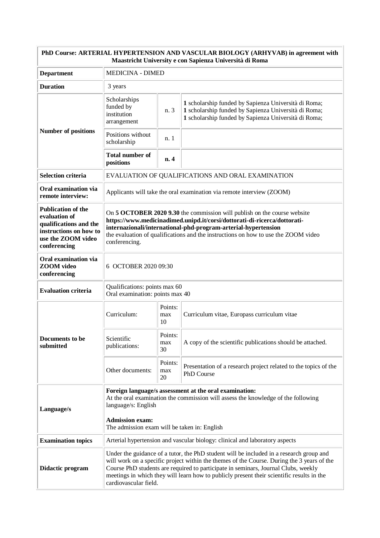| PhD Course: ARTERIAL HYPERTENSION AND VASCULAR BIOLOGY (ARHYVAB) in agreement with<br>Maastricht University e con Sapienza Università di Roma |                                                                                                                                                                                                                                                                                                                                                                                                   |                      |                                                                                                                                                                      |  |
|-----------------------------------------------------------------------------------------------------------------------------------------------|---------------------------------------------------------------------------------------------------------------------------------------------------------------------------------------------------------------------------------------------------------------------------------------------------------------------------------------------------------------------------------------------------|----------------------|----------------------------------------------------------------------------------------------------------------------------------------------------------------------|--|
| <b>Department</b>                                                                                                                             | <b>MEDICINA - DIMED</b>                                                                                                                                                                                                                                                                                                                                                                           |                      |                                                                                                                                                                      |  |
| <b>Duration</b>                                                                                                                               | 3 years                                                                                                                                                                                                                                                                                                                                                                                           |                      |                                                                                                                                                                      |  |
| <b>Number of positions</b>                                                                                                                    | Scholarships<br>funded by<br>institution<br>arrangement                                                                                                                                                                                                                                                                                                                                           | n. 3                 | 1 scholarship funded by Sapienza Università di Roma;<br>1 scholarship funded by Sapienza Università di Roma;<br>1 scholarship funded by Sapienza Università di Roma; |  |
|                                                                                                                                               | Positions without<br>scholarship                                                                                                                                                                                                                                                                                                                                                                  | n. 1                 |                                                                                                                                                                      |  |
|                                                                                                                                               | <b>Total number of</b><br>positions                                                                                                                                                                                                                                                                                                                                                               | n. 4                 |                                                                                                                                                                      |  |
| <b>Selection criteria</b>                                                                                                                     | EVALUATION OF QUALIFICATIONS AND ORAL EXAMINATION                                                                                                                                                                                                                                                                                                                                                 |                      |                                                                                                                                                                      |  |
| Oral examination via<br>remote interview:                                                                                                     | Applicants will take the oral examination via remote interview (ZOOM)                                                                                                                                                                                                                                                                                                                             |                      |                                                                                                                                                                      |  |
| <b>Publication of the</b><br>evaluation of<br>qualifications and the<br>instructions on how to<br>use the ZOOM video<br>conferencing          | On 5 OCTOBER 2020 9.30 the commission will publish on the course website<br>https://www.medicinadimed.unipd.it/corsi/dottorati-di-ricerca/dottorati-<br>internazionali/international-phd-program-arterial-hypertension<br>the evaluation of qualifications and the instructions on how to use the ZOOM video<br>conferencing.                                                                     |                      |                                                                                                                                                                      |  |
| Oral examination via<br><b>ZOOM</b> video<br>conferencing                                                                                     | 6 OCTOBER 2020 09:30                                                                                                                                                                                                                                                                                                                                                                              |                      |                                                                                                                                                                      |  |
| <b>Evaluation criteria</b>                                                                                                                    | Qualifications: points max 60<br>Oral examination: points max 40                                                                                                                                                                                                                                                                                                                                  |                      |                                                                                                                                                                      |  |
| Documents to be<br>submitted                                                                                                                  | Curriculum:                                                                                                                                                                                                                                                                                                                                                                                       | Points:<br>max<br>10 | Curriculum vitae, Europass curriculum vitae                                                                                                                          |  |
|                                                                                                                                               | Scientific<br>publications:                                                                                                                                                                                                                                                                                                                                                                       | Points:<br>max<br>30 | A copy of the scientific publications should be attached.                                                                                                            |  |
|                                                                                                                                               | Other documents:                                                                                                                                                                                                                                                                                                                                                                                  | Points:<br>max<br>20 | Presentation of a research project related to the topics of the<br>PhD Course                                                                                        |  |
| Language/s                                                                                                                                    | Foreign language/s assessment at the oral examination:<br>At the oral examination the commission will assess the knowledge of the following<br>language/s: English                                                                                                                                                                                                                                |                      |                                                                                                                                                                      |  |
|                                                                                                                                               | <b>Admission exam:</b><br>The admission exam will be taken in: English                                                                                                                                                                                                                                                                                                                            |                      |                                                                                                                                                                      |  |
| <b>Examination topics</b>                                                                                                                     | Arterial hypertension and vascular biology: clinical and laboratory aspects                                                                                                                                                                                                                                                                                                                       |                      |                                                                                                                                                                      |  |
| Didactic program                                                                                                                              | Under the guidance of a tutor, the PhD student will be included in a research group and<br>will work on a specific project within the themes of the Course. During the 3 years of the<br>Course PhD students are required to participate in seminars, Journal Clubs, weekly<br>meetings in which they will learn how to publicly present their scientific results in the<br>cardiovascular field. |                      |                                                                                                                                                                      |  |